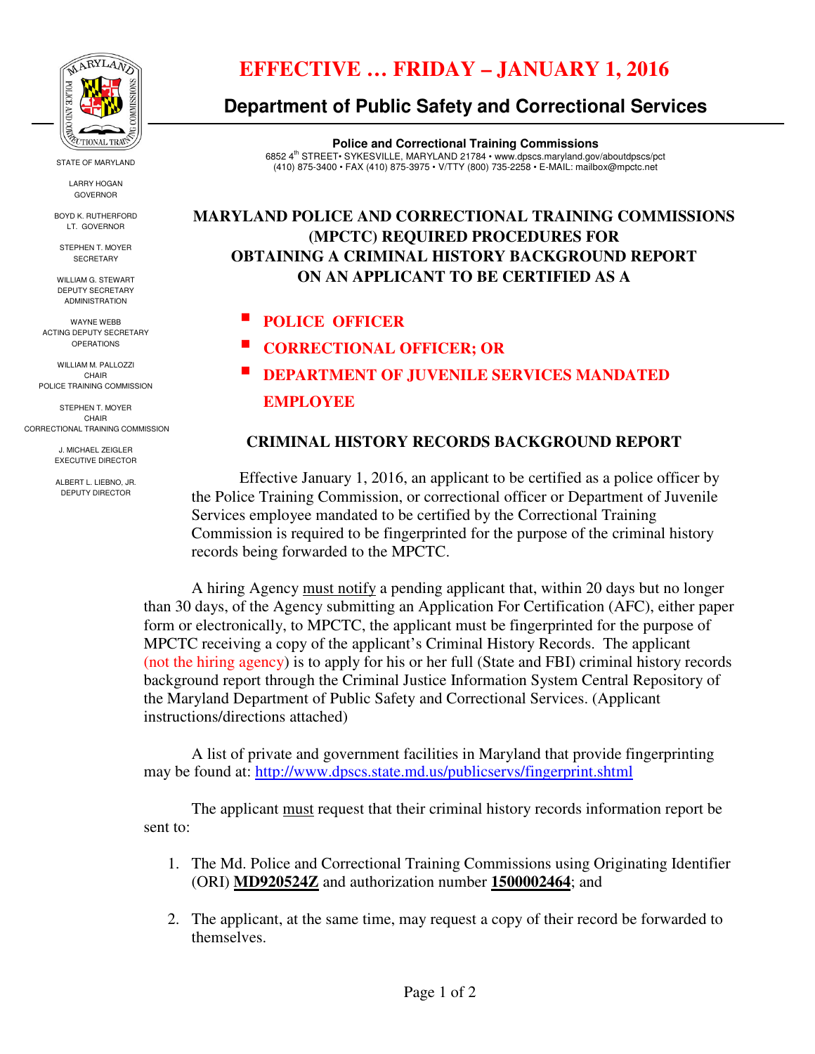

LARRY HOGAN GOVERNOR

BOYD K. RUTHERFORD **LT. GOVERNOR** 

STEPHEN T. MOYER **SECRETARY** 

WILLIAM G. STEWART DEPUTY SECRETARY ADMINISTRATION

WAYNE WEBB ACTING DEPUTY SECRETARY OPERATIONS

WILLIAM M. PALLOZZI CHAIR POLICE TRAINING COMMISSION

STEPHEN T. MOYER CHAIR CORRECTIONAL TRAINING COMMISSION

> J. MICHAEL ZEIGLER EXECUTIVE DIRECTOR

ALBERT L. LIEBNO, JR. DEPUTY DIRECTOR

# **EFFECTIVE … FRIDAY – JANUARY 1, 2016**

## **Department of Public Safety and Correctional Services**

**Police and Correctional Training Commissions**  6852 4th STREET• SYKESVILLE, MARYLAND 21784 • www.dpscs.maryland.gov/aboutdpscs/pct 0652 4 STATE I • STATESVILLE, MARTLAND 21764 • WWW.apses.maryland.gov/aboutapses/p<br>(410) 875-3400 • FAX (410) 875-3975 • V/TTY (800) 735-2258 • E-MAIL: mailbox@mpctc.net (410) 875-3400 • FAX

### **MARYLAND POLICE AND CORRECTIONAL TRAINING COMMISSIONS (MPCTC) REQUIRED PROCEDURES FOR OBTAINING A CRIMINAL HISTORY BACKGROUND REPORT ON AN APPLICANT TO BE CERTIFIED AS A**

- **POLICE OFFICER**
- **CORRECTIONAL OFFICER; OR**
- **DEPARTMENT OF JUVENILE SERVICES MANDATED EMPLOYEE**

#### **CRIMINAL HISTORY RECORDS BACKGROUND REPORT**

Effective January 1, 2016, an applicant to be certified as a police officer by the Police Training Commission, or correctional officer or Department of Juvenile Services employee mandated to be certified by the Correctional Training Commission is required to be fingerprinted for the purpose of the criminal history records being forwarded to the MPCTC.

A hiring Agency must notify a pending applicant that, within 20 days but no longer than 30 days, of the Agency submitting an Application For Certification (AFC), either paper form or electronically, to MPCTC, the applicant must be fingerprinted for the purpose of MPCTC receiving a copy of the applicant's Criminal History Records. The applicant (not the hiring agency) is to apply for his or her full (State and FBI) criminal history records background report through the Criminal Justice Information System Central Repository of the Maryland Department of Public Safety and Correctional Services. (Applicant instructions/directions attached)

A list of private and government facilities in Maryland that provide fingerprinting may be found at: http://www.dpscs.state.md.us/publicservs/fingerprint.shtml

The applicant must request that their criminal history records information report be sent to:

- 1. The Md. Police and Correctional Training Commissions using Originating Identifier (ORI) **MD920524Z** and authorization number **1500002464**; and
- 2. The applicant, at the same time, may request a copy of their record be forwarded to themselves.